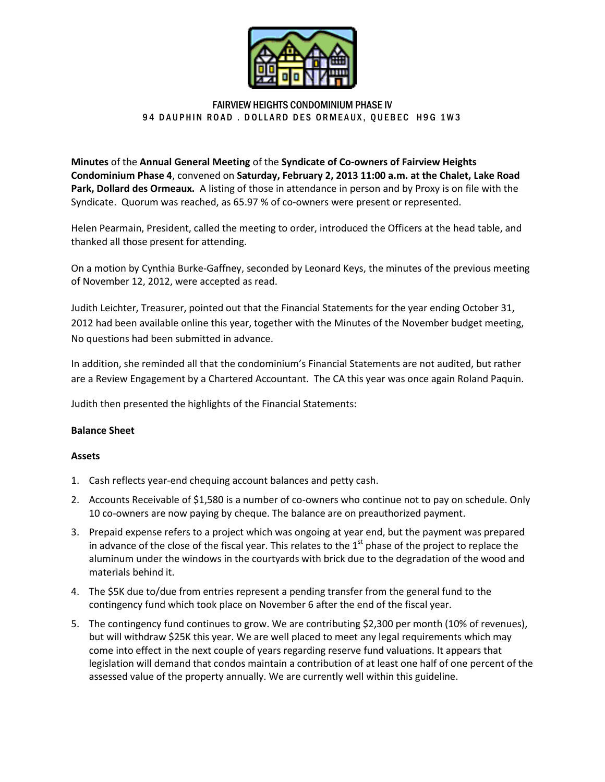

# FAIRVIEW HEIGHTS CONDOMINIUM PHASE IV 94 DAUPHIN ROAD. DOLLARD DES ORMEAUX, QUEBEC H9G 1W3

**Minutes** of the **Annual General Meeting** of the **Syndicate of Co-owners of Fairview Heights Condominium Phase 4**, convened on **Saturday, February 2, 2013 11:00 a.m. at the Chalet, Lake Road Park, Dollard des Ormeaux.** A listing of those in attendance in person and by Proxy is on file with the Syndicate. Quorum was reached, as 65.97 % of co-owners were present or represented.

Helen Pearmain, President, called the meeting to order, introduced the Officers at the head table, and thanked all those present for attending.

On a motion by Cynthia Burke-Gaffney, seconded by Leonard Keys, the minutes of the previous meeting of November 12, 2012, were accepted as read.

Judith Leichter, Treasurer, pointed out that the Financial Statements for the year ending October 31, 2012 had been available online this year, together with the Minutes of the November budget meeting, No questions had been submitted in advance.

In addition, she reminded all that the condominium's Financial Statements are not audited, but rather are a Review Engagement by a Chartered Accountant. The CA this year was once again Roland Paquin.

Judith then presented the highlights of the Financial Statements:

## **Balance Sheet**

## **Assets**

- 1. Cash reflects year-end chequing account balances and petty cash.
- 2. Accounts Receivable of \$1,580 is a number of co-owners who continue not to pay on schedule. Only 10 co-owners are now paying by cheque. The balance are on preauthorized payment.
- 3. Prepaid expense refers to a project which was ongoing at year end, but the payment was prepared in advance of the close of the fiscal year. This relates to the  $1<sup>st</sup>$  phase of the project to replace the aluminum under the windows in the courtyards with brick due to the degradation of the wood and materials behind it.
- 4. The \$5K due to/due from entries represent a pending transfer from the general fund to the contingency fund which took place on November 6 after the end of the fiscal year.
- 5. The contingency fund continues to grow. We are contributing \$2,300 per month (10% of revenues), but will withdraw \$25K this year. We are well placed to meet any legal requirements which may come into effect in the next couple of years regarding reserve fund valuations. It appears that legislation will demand that condos maintain a contribution of at least one half of one percent of the assessed value of the property annually. We are currently well within this guideline.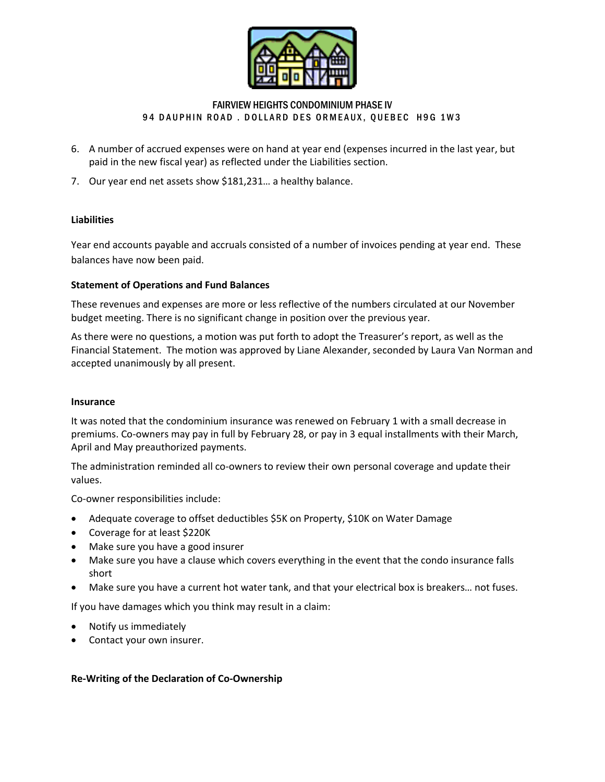

# FAIRVIEW HEIGHTS CONDOMINIUM PHASE IV 94 DAUPHIN ROAD. DOLLARD DES ORMEAUX, QUEBEC H9G 1W3

- 6. A number of accrued expenses were on hand at year end (expenses incurred in the last year, but paid in the new fiscal year) as reflected under the Liabilities section.
- 7. Our year end net assets show \$181,231… a healthy balance.

# **Liabilities**

Year end accounts payable and accruals consisted of a number of invoices pending at year end. These balances have now been paid.

## **Statement of Operations and Fund Balances**

These revenues and expenses are more or less reflective of the numbers circulated at our November budget meeting. There is no significant change in position over the previous year.

As there were no questions, a motion was put forth to adopt the Treasurer's report, as well as the Financial Statement. The motion was approved by Liane Alexander, seconded by Laura Van Norman and accepted unanimously by all present.

## **Insurance**

It was noted that the condominium insurance was renewed on February 1 with a small decrease in premiums. Co-owners may pay in full by February 28, or pay in 3 equal installments with their March, April and May preauthorized payments.

The administration reminded all co-owners to review their own personal coverage and update their values.

Co-owner responsibilities include:

- Adequate coverage to offset deductibles \$5K on Property, \$10K on Water Damage
- Coverage for at least \$220K
- Make sure you have a good insurer
- Make sure you have a clause which covers everything in the event that the condo insurance falls short
- Make sure you have a current hot water tank, and that your electrical box is breakers… not fuses.

If you have damages which you think may result in a claim:

- Notify us immediately
- Contact your own insurer.

## **Re-Writing of the Declaration of Co-Ownership**